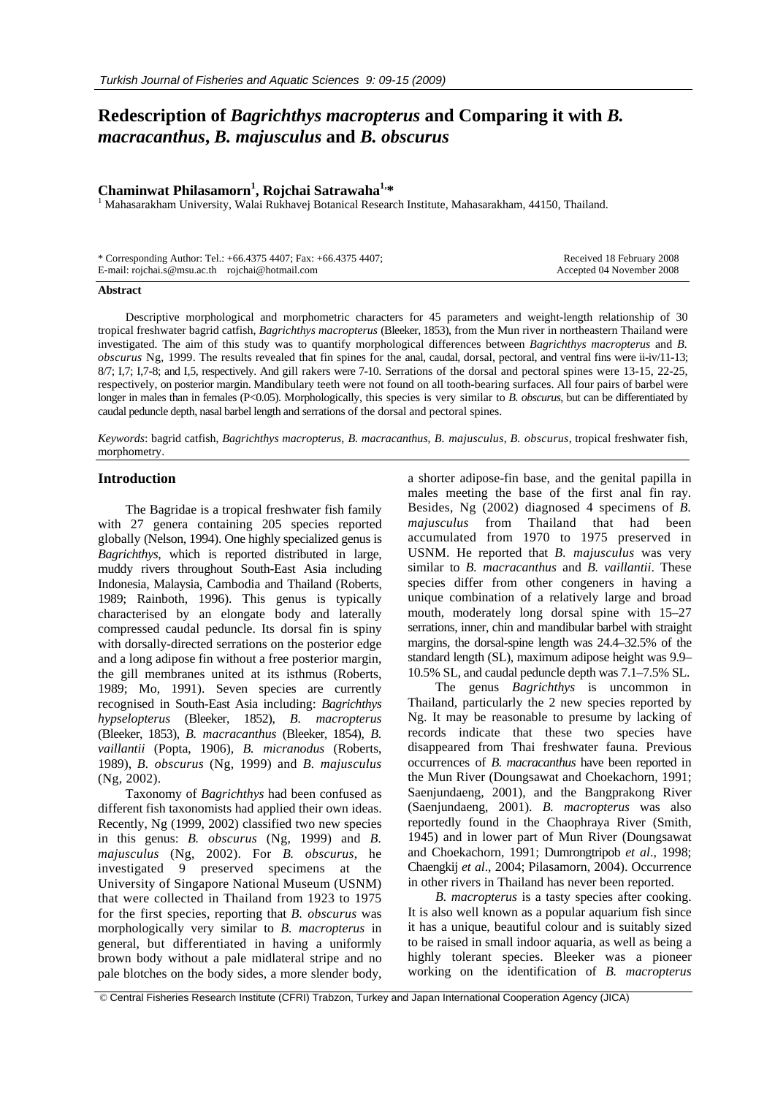## **Redescription of** *Bagrichthys macropterus* **and Comparing it with** *B. macracanthus***,** *B. majusculus* **and** *B. obscurus*

# **Chaminwat Philasamorn<sup>1</sup> , Rojchai Satrawaha1,\*** <sup>1</sup>

<sup>1</sup> Mahasarakham University, Walai Rukhavej Botanical Research Institute, Mahasarakham, 44150, Thailand.

|                                                 | * Corresponding Author: Tel.: +66.4375 4407; Fax: +66.4375 4407; | Received 18 February 2008 |
|-------------------------------------------------|------------------------------------------------------------------|---------------------------|
| E-mail: rojchai.s@msu.ac.th rojchai@hotmail.com |                                                                  | Accepted 04 November 2008 |

#### **Abstract**

Descriptive morphological and morphometric characters for 45 parameters and weight-length relationship of 30 tropical freshwater bagrid catfish, *Bagrichthys macropterus* (Bleeker, 1853), from the Mun river in northeastern Thailand were investigated. The aim of this study was to quantify morphological differences between *Bagrichthys macropterus* and *B. obscurus* Ng, 1999. The results revealed that fin spines for the anal, caudal, dorsal, pectoral, and ventral fins were ii-iv/11-13; 8/7; I,7; I,7-8; and I,5, respectively. And gill rakers were 7-10. Serrations of the dorsal and pectoral spines were 13-15, 22-25, respectively, on posterior margin. Mandibulary teeth were not found on all tooth-bearing surfaces. All four pairs of barbel were longer in males than in females (P<0.05). Morphologically, this species is very similar to *B. obscurus*, but can be differentiated by caudal peduncle depth, nasal barbel length and serrations of the dorsal and pectoral spines.

*Keywords*: bagrid catfish, *Bagrichthys macropterus*, *B. macracanthus*, *B. majusculus*, *B. obscurus*, tropical freshwater fish, morphometry.

#### **Introduction**

The Bagridae is a tropical freshwater fish family with 27 genera containing 205 species reported globally (Nelson, 1994). One highly specialized genus is *Bagrichthys*, which is reported distributed in large, muddy rivers throughout South-East Asia including Indonesia, Malaysia, Cambodia and Thailand (Roberts, 1989; Rainboth, 1996). This genus is typically characterised by an elongate body and laterally compressed caudal peduncle. Its dorsal fin is spiny with dorsally-directed serrations on the posterior edge and a long adipose fin without a free posterior margin, the gill membranes united at its isthmus (Roberts, 1989; Mo, 1991). Seven species are currently recognised in South-East Asia including: *Bagrichthys hypselopterus* (Bleeker, 1852), *B. macropterus* (Bleeker, 1853), *B. macracanthus* (Bleeker, 1854), *B. vaillantii* (Popta, 1906), *B. micranodus* (Roberts, 1989), *B. obscurus* (Ng, 1999) and *B. majusculus*  (Ng, 2002).

Taxonomy of *Bagrichthys* had been confused as different fish taxonomists had applied their own ideas. Recently, Ng (1999, 2002) classified two new species in this genus: *B. obscurus* (Ng, 1999) and *B. majusculus* (Ng, 2002). For *B. obscurus*, he investigated 9 preserved specimens at the University of Singapore National Museum (USNM) that were collected in Thailand from 1923 to 1975 for the first species, reporting that *B. obscurus* was morphologically very similar to *B. macropterus* in general, but differentiated in having a uniformly brown body without a pale midlateral stripe and no pale blotches on the body sides, a more slender body, a shorter adipose-fin base, and the genital papilla in males meeting the base of the first anal fin ray. Besides, Ng (2002) diagnosed 4 specimens of *B. majusculus* from Thailand that had been accumulated from 1970 to 1975 preserved in USNM. He reported that *B. majusculus* was very similar to *B. macracanthus* and *B. vaillantii*. These species differ from other congeners in having a unique combination of a relatively large and broad mouth, moderately long dorsal spine with 15–27 serrations, inner, chin and mandibular barbel with straight margins, the dorsal-spine length was 24.4–32.5% of the standard length (SL), maximum adipose height was 9.9– 10.5% SL, and caudal peduncle depth was 7.1–7.5% SL.

The genus *Bagrichthys* is uncommon in Thailand, particularly the 2 new species reported by Ng. It may be reasonable to presume by lacking of records indicate that these two species have disappeared from Thai freshwater fauna. Previous occurrences of *B. macracanthus* have been reported in the Mun River (Doungsawat and Choekachorn, 1991; Saenjundaeng, 2001), and the Bangprakong River (Saenjundaeng, 2001). *B. macropterus* was also reportedly found in the Chaophraya River (Smith, 1945) and in lower part of Mun River (Doungsawat and Choekachorn, 1991; Dumrongtripob *et al*., 1998; Chaengkij *et al*., 2004; Pilasamorn, 2004). Occurrence in other rivers in Thailand has never been reported.

*B. macropterus* is a tasty species after cooking. It is also well known as a popular aquarium fish since it has a unique, beautiful colour and is suitably sized to be raised in small indoor aquaria, as well as being a highly tolerant species. Bleeker was a pioneer working on the identification of *B. macropterus*

© Central Fisheries Research Institute (CFRI) Trabzon, Turkey and Japan International Cooperation Agency (JICA)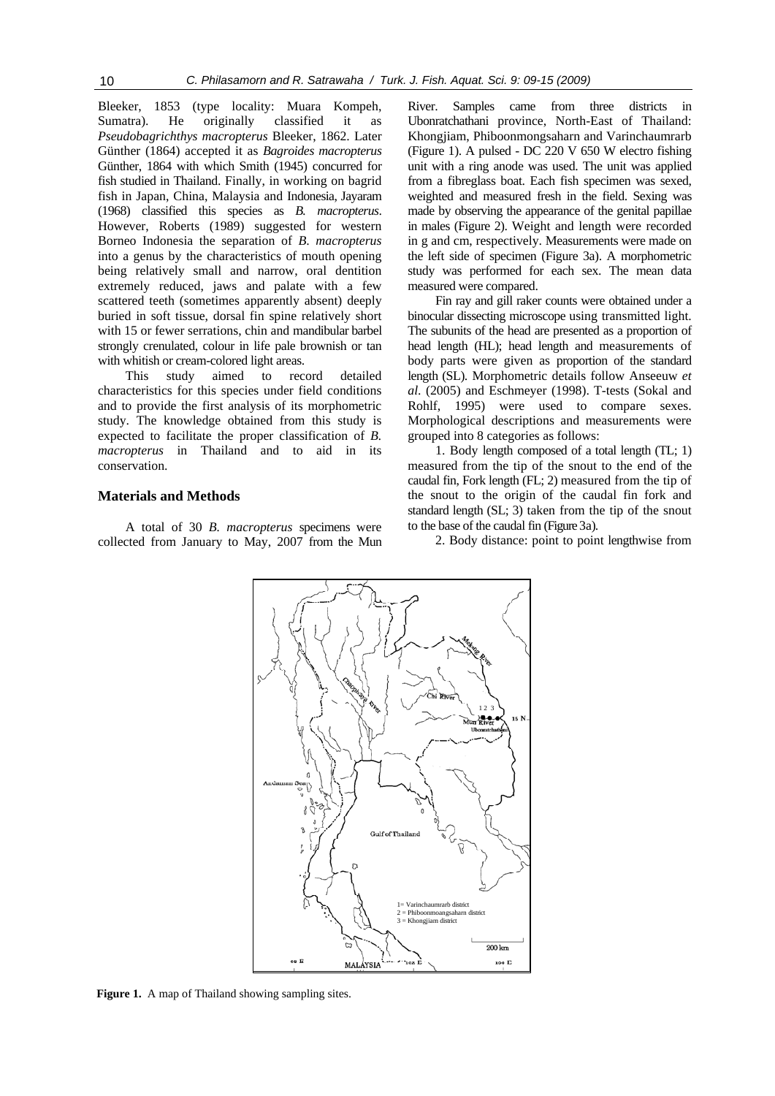Bleeker, 1853 (type locality: Muara Kompeh, Sumatra). He originally classified it as *Pseudobagrichthys macropterus* Bleeker, 1862. Later Günther (1864) accepted it as *Bagroides macropterus* Günther, 1864 with which Smith (1945) concurred for fish studied in Thailand. Finally, in working on bagrid fish in Japan, China, Malaysia and Indonesia, Jayaram (1968) classified this species as *B. macropterus*. However, Roberts (1989) suggested for western Borneo Indonesia the separation of *B*. *macropterus* into a genus by the characteristics of mouth opening being relatively small and narrow, oral dentition extremely reduced, jaws and palate with a few scattered teeth (sometimes apparently absent) deeply buried in soft tissue, dorsal fin spine relatively short with 15 or fewer serrations, chin and mandibular barbel strongly crenulated, colour in life pale brownish or tan with whitish or cream-colored light areas.

This study aimed to record detailed characteristics for this species under field conditions and to provide the first analysis of its morphometric study. The knowledge obtained from this study is expected to facilitate the proper classification of *B. macropterus* in Thailand and to aid in its conservation.

#### **Materials and Methods**

A total of 30 *B. macropterus* specimens were collected from January to May, 2007 from the Mun River. Samples came from three districts in Ubonratchathani province, North-East of Thailand: Khongjiam, Phiboonmongsaharn and Varinchaumrarb (Figure 1). A pulsed - DC 220 V 650 W electro fishing unit with a ring anode was used. The unit was applied from a fibreglass boat. Each fish specimen was sexed, weighted and measured fresh in the field. Sexing was made by observing the appearance of the genital papillae in males (Figure 2). Weight and length were recorded in g and cm, respectively. Measurements were made on the left side of specimen (Figure 3a). A morphometric study was performed for each sex. The mean data measured were compared.

Fin ray and gill raker counts were obtained under a binocular dissecting microscope using transmitted light. The subunits of the head are presented as a proportion of head length (HL); head length and measurements of body parts were given as proportion of the standard length (SL). Morphometric details follow Anseeuw *et al*. (2005) and Eschmeyer (1998). T-tests (Sokal and Rohlf, 1995) were used to compare sexes. Morphological descriptions and measurements were grouped into 8 categories as follows:

1. Body length composed of a total length (TL; 1) measured from the tip of the snout to the end of the caudal fin, Fork length (FL; 2) measured from the tip of the snout to the origin of the caudal fin fork and standard length (SL; 3) taken from the tip of the snout to the base of the caudal fin (Figure 3a).

2. Body distance: point to point lengthwise from



**Figure 1.** A map of Thailand showing sampling sites.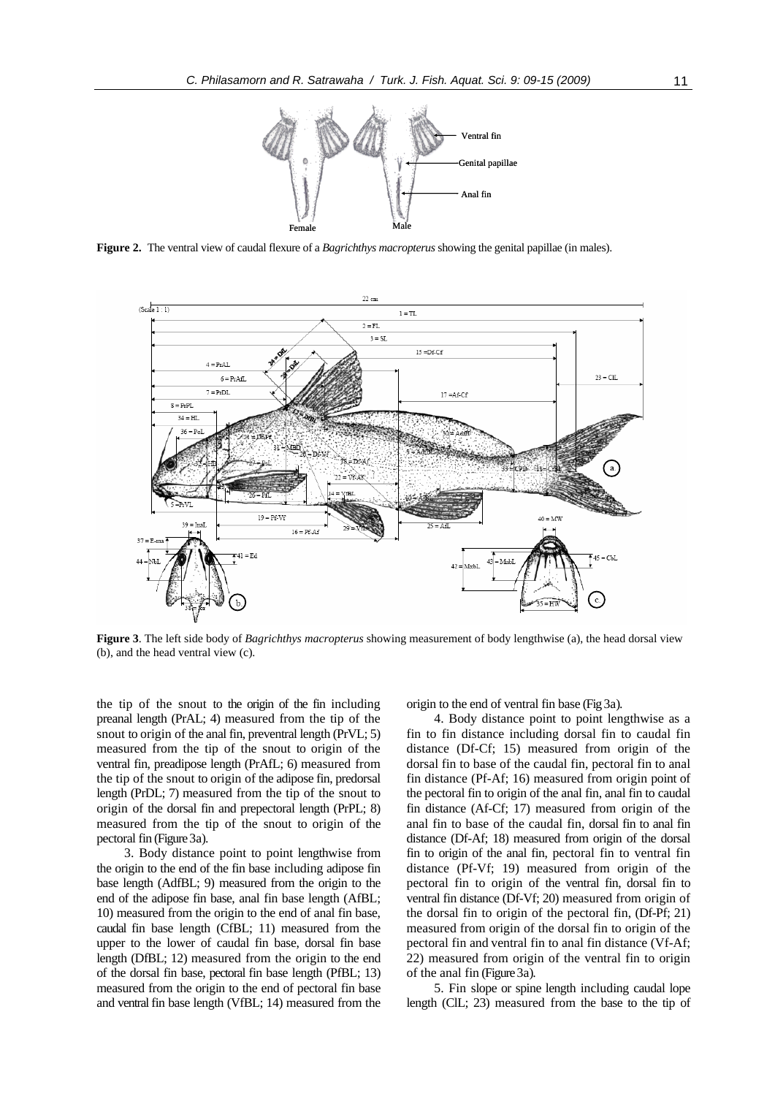

**Figure 2.** The ventral view of caudal flexure of a *Bagrichthys macropterus* showing the genital papillae (in males).



**Figure 3**. The left side body of *Bagrichthys macropterus* showing measurement of body lengthwise (a), the head dorsal view (b), and the head ventral view (c).

the tip of the snout to the origin of the fin including preanal length (PrAL; 4) measured from the tip of the snout to origin of the anal fin, preventral length (PrVL; 5) measured from the tip of the snout to origin of the ventral fin, preadipose length (PrAfL; 6) measured from the tip of the snout to origin of the adipose fin, predorsal length (PrDL; 7) measured from the tip of the snout to origin of the dorsal fin and prepectoral length (PrPL; 8) measured from the tip of the snout to origin of the pectoral fin (Figure 3a).

3. Body distance point to point lengthwise from the origin to the end of the fin base including adipose fin base length (AdfBL; 9) measured from the origin to the end of the adipose fin base, anal fin base length (AfBL; 10) measured from the origin to the end of anal fin base, caudal fin base length (CfBL; 11) measured from the upper to the lower of caudal fin base, dorsal fin base length (DfBL; 12) measured from the origin to the end of the dorsal fin base, pectoral fin base length (PfBL; 13) measured from the origin to the end of pectoral fin base and ventral fin base length (VfBL; 14) measured from the origin to the end of ventral fin base (Fig 3a).

4. Body distance point to point lengthwise as a fin to fin distance including dorsal fin to caudal fin distance (Df-Cf; 15) measured from origin of the dorsal fin to base of the caudal fin, pectoral fin to anal fin distance (Pf-Af; 16) measured from origin point of the pectoral fin to origin of the anal fin, anal fin to caudal fin distance (Af-Cf; 17) measured from origin of the anal fin to base of the caudal fin, dorsal fin to anal fin distance (Df-Af; 18) measured from origin of the dorsal fin to origin of the anal fin, pectoral fin to ventral fin distance (Pf-Vf; 19) measured from origin of the pectoral fin to origin of the ventral fin, dorsal fin to ventral fin distance (Df-Vf; 20) measured from origin of the dorsal fin to origin of the pectoral fin, (Df-Pf; 21) measured from origin of the dorsal fin to origin of the pectoral fin and ventral fin to anal fin distance (Vf-Af; 22) measured from origin of the ventral fin to origin of the anal fin (Figure 3a).

5. Fin slope or spine length including caudal lope length (ClL; 23) measured from the base to the tip of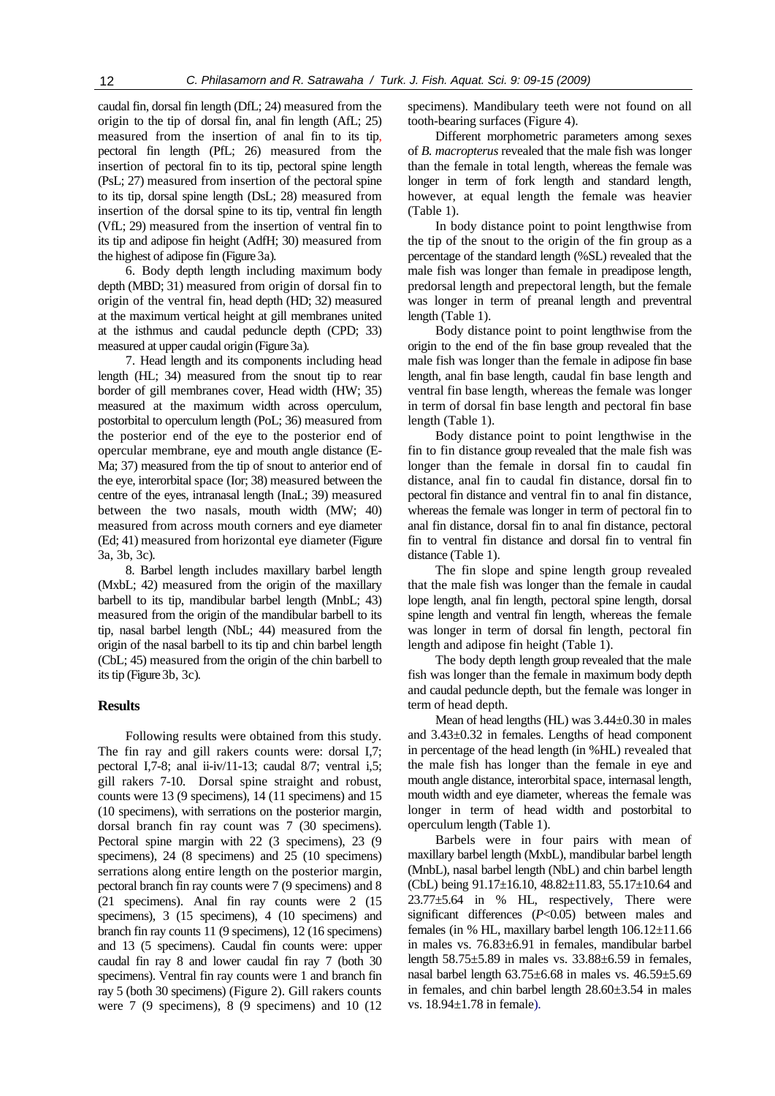caudal fin, dorsal fin length (DfL; 24) measured from the origin to the tip of dorsal fin, anal fin length (AfL; 25) measured from the insertion of anal fin to its tip, pectoral fin length (PfL; 26) measured from the insertion of pectoral fin to its tip, pectoral spine length (PsL; 27) measured from insertion of the pectoral spine to its tip, dorsal spine length (DsL; 28) measured from insertion of the dorsal spine to its tip, ventral fin length (VfL; 29) measured from the insertion of ventral fin to its tip and adipose fin height (AdfH; 30) measured from the highest of adipose fin (Figure 3a).

6. Body depth length including maximum body depth (MBD; 31) measured from origin of dorsal fin to origin of the ventral fin, head depth (HD; 32) measured at the maximum vertical height at gill membranes united at the isthmus and caudal peduncle depth (CPD; 33) measured at upper caudal origin (Figure 3a).

7. Head length and its components including head length (HL; 34) measured from the snout tip to rear border of gill membranes cover, Head width (HW; 35) measured at the maximum width across operculum, postorbital to operculum length (PoL; 36) measured from the posterior end of the eye to the posterior end of opercular membrane, eye and mouth angle distance (E-Ma; 37) measured from the tip of snout to anterior end of the eye, interorbital space (Ior; 38) measured between the centre of the eyes, intranasal length (InaL; 39) measured between the two nasals, mouth width (MW; 40) measured from across mouth corners and eye diameter (Ed; 41) measured from horizontal eye diameter (Figure 3a, 3b, 3c).

8. Barbel length includes maxillary barbel length (MxbL; 42) measured from the origin of the maxillary barbell to its tip, mandibular barbel length (MnbL; 43) measured from the origin of the mandibular barbell to its tip, nasal barbel length (NbL; 44) measured from the origin of the nasal barbell to its tip and chin barbel length (CbL; 45) measured from the origin of the chin barbell to its tip (Figure 3b, 3c).

#### **Results**

Following results were obtained from this study. The fin ray and gill rakers counts were: dorsal I,7; pectoral I,7-8; anal ii-iv/11-13; caudal 8/7; ventral i,5; gill rakers 7-10. Dorsal spine straight and robust, counts were 13 (9 specimens), 14 (11 specimens) and 15 (10 specimens), with serrations on the posterior margin, dorsal branch fin ray count was 7 (30 specimens). Pectoral spine margin with 22 (3 specimens), 23 (9 specimens), 24 (8 specimens) and 25 (10 specimens) serrations along entire length on the posterior margin, pectoral branch fin ray counts were 7 (9 specimens) and 8 (21 specimens). Anal fin ray counts were 2 (15 specimens), 3 (15 specimens), 4 (10 specimens) and branch fin ray counts 11 (9 specimens), 12 (16 specimens) and 13 (5 specimens). Caudal fin counts were: upper caudal fin ray 8 and lower caudal fin ray 7 (both 30 specimens). Ventral fin ray counts were 1 and branch fin ray 5 (both 30 specimens) (Figure 2). Gill rakers counts were 7 (9 specimens), 8 (9 specimens) and 10 (12 specimens). Mandibulary teeth were not found on all tooth-bearing surfaces (Figure 4).

Different morphometric parameters among sexes of *B. macropterus* revealed that the male fish was longer than the female in total length, whereas the female was longer in term of fork length and standard length, however, at equal length the female was heavier (Table 1).

In body distance point to point lengthwise from the tip of the snout to the origin of the fin group as a percentage of the standard length (%SL) revealed that the male fish was longer than female in preadipose length, predorsal length and prepectoral length, but the female was longer in term of preanal length and preventral length (Table 1).

Body distance point to point lengthwise from the origin to the end of the fin base group revealed that the male fish was longer than the female in adipose fin base length, anal fin base length, caudal fin base length and ventral fin base length, whereas the female was longer in term of dorsal fin base length and pectoral fin base length (Table 1).

Body distance point to point lengthwise in the fin to fin distance group revealed that the male fish was longer than the female in dorsal fin to caudal fin distance, anal fin to caudal fin distance, dorsal fin to pectoral fin distance and ventral fin to anal fin distance, whereas the female was longer in term of pectoral fin to anal fin distance, dorsal fin to anal fin distance, pectoral fin to ventral fin distance and dorsal fin to ventral fin distance (Table 1).

The fin slope and spine length group revealed that the male fish was longer than the female in caudal lope length, anal fin length, pectoral spine length, dorsal spine length and ventral fin length, whereas the female was longer in term of dorsal fin length, pectoral fin length and adipose fin height (Table 1).

The body depth length group revealed that the male fish was longer than the female in maximum body depth and caudal peduncle depth, but the female was longer in term of head depth.

Mean of head lengths (HL) was 3.44±0.30 in males and 3.43±0.32 in females. Lengths of head component in percentage of the head length (in %HL) revealed that the male fish has longer than the female in eye and mouth angle distance, interorbital space, internasal length, mouth width and eye diameter, whereas the female was longer in term of head width and postorbital to operculum length (Table 1).

Barbels were in four pairs with mean of maxillary barbel length (MxbL), mandibular barbel length (MnbL), nasal barbel length (NbL) and chin barbel length (CbL) being 91.17±16.10, 48.82±11.83, 55.17±10.64 and 23.77±5.64 in % HL, respectively, There were significant differences (*P*<0.05) between males and females (in % HL, maxillary barbel length 106.12±11.66 in males vs. 76.83±6.91 in females, mandibular barbel length 58.75±5.89 in males vs. 33.88±6.59 in females, nasal barbel length  $63.75\pm6.68$  in males vs.  $46.59\pm5.69$ in females, and chin barbel length 28.60±3.54 in males vs. 18.94±1.78 in female).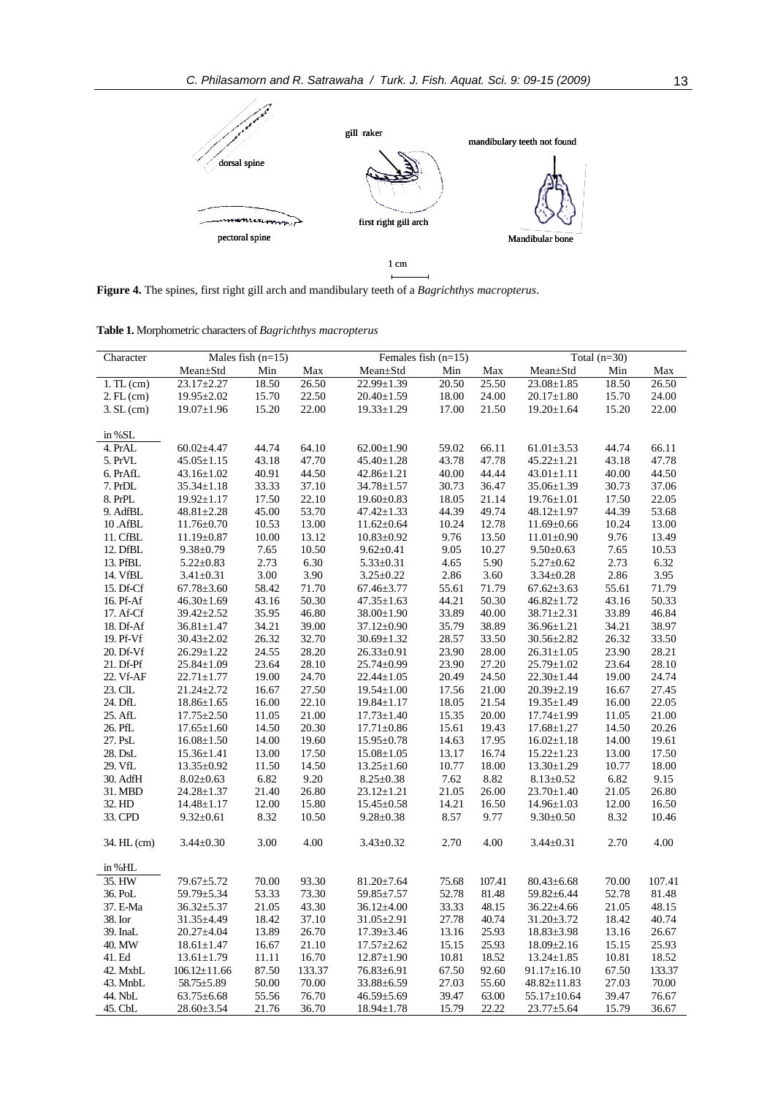

**Figure 4.** The spines, first right gill arch and mandibulary teeth of a *Bagrichthys macropterus*.

**Table 1.** Morphometric characters of *Bagrichthys macropterus*

| Character           |                    | Males fish $(n=15)$<br>Females fish $(n=15)$ |        |                  | Total $\overline{(n=30)}$ |        |                   |       |        |
|---------------------|--------------------|----------------------------------------------|--------|------------------|---------------------------|--------|-------------------|-------|--------|
|                     | Mean±Std           | Min                                          | Max    | Mean±Std         | Min                       | Max    | Mean±Std          | Min   | Max    |
| $1.$ TL $(cm)$      | $23.17 \pm 2.27$   | 18.50                                        | 26.50  | 22.99±1.39       | 20.50                     | 25.50  | $23.08 \pm 1.85$  | 18.50 | 26.50  |
| $2.$ FL $(cm)$      | 19.95±2.02         | 15.70                                        | 22.50  | $20.40 \pm 1.59$ | 18.00                     | 24.00  | $20.17 \pm 1.80$  | 15.70 | 24.00  |
| $3. SL$ (cm)        | $19.07 \pm 1.96$   | 15.20                                        | 22.00  | $19.33 \pm 1.29$ | 17.00                     | 21.50  | $19.20 \pm 1.64$  | 15.20 | 22.00  |
|                     |                    |                                              |        |                  |                           |        |                   |       |        |
| in %SL              |                    |                                              |        |                  |                           |        |                   |       |        |
| 4. PrAL             | $60.02{\pm}4.47$   | 44.74                                        | 64.10  | $62.00 \pm 1.90$ | 59.02                     | 66.11  | $61.01 \pm 3.53$  | 44.74 | 66.11  |
| 5. PrVL             | $45.05 \pm 1.15$   | 43.18                                        | 47.70  | $45.40 \pm 1.28$ | 43.78                     | 47.78  | $45.22 \pm 1.21$  | 43.18 | 47.78  |
| 6. PrAfL            | $43.16 \pm 1.02$   | 40.91                                        | 44.50  | $42.86 \pm 1.21$ | 40.00                     | 44.44  | $43.01 \pm 1.11$  | 40.00 | 44.50  |
| 7. PrDL             | $35.34 \pm 1.18$   | 33.33                                        | 37.10  | $34.78 \pm 1.57$ | 30.73                     | 36.47  | 35.06±1.39        | 30.73 | 37.06  |
| 8. PrPL             | $19.92 \pm 1.17$   | 17.50                                        | 22.10  | $19.60 \pm 0.83$ | 18.05                     | 21.14  | $19.76 \pm 1.01$  | 17.50 | 22.05  |
| 9. AdfBL            | $48.81 \pm 2.28$   | 45.00                                        | 53.70  | $47.42 \pm 1.33$ | 44.39                     | 49.74  | $48.12 \pm 1.97$  | 44.39 | 53.68  |
| 10.AfBL             | $11.76 \pm 0.70$   | 10.53                                        | 13.00  | $11.62 \pm 0.64$ | 10.24                     | 12.78  | $11.69 \pm 0.66$  | 10.24 | 13.00  |
| 11. CfBL            | $11.19 \pm 0.87$   | 10.00                                        | 13.12  | $10.83 \pm 0.92$ | 9.76                      | 13.50  | $11.01 \pm 0.90$  | 9.76  | 13.49  |
| 12. DfBL            | $9.38 \pm 0.79$    | 7.65                                         | 10.50  | $9.62 \pm 0.41$  | 9.05                      | 10.27  | $9.50 \pm 0.63$   | 7.65  | 10.53  |
| 13. PfBL            | $5.22 \pm 0.83$    | 2.73                                         | 6.30   | $5.33 \pm 0.31$  | 4.65                      | 5.90   | $5.27 \pm 0.62$   | 2.73  | 6.32   |
| 14. VfBL            | $3.41 \pm 0.31$    | 3.00                                         | 3.90   | $3.25 \pm 0.22$  | 2.86                      | 3.60   | $3.34 \pm 0.28$   | 2.86  | 3.95   |
| 15. Df-Cf           | $67.78 \pm 3.60$   | 58.42                                        | 71.70  | $67.46 \pm 3.77$ | 55.61                     | 71.79  | $67.62 \pm 3.63$  | 55.61 | 71.79  |
| 16. Pf-Af           | $46.30 \pm 1.69$   | 43.16                                        | 50.30  | $47.35 \pm 1.63$ | 44.21                     | 50.30  | $46.82 \pm 1.72$  | 43.16 | 50.33  |
| 17. Af-Cf           | $39.42 \pm 2.52$   | 35.95                                        | 46.80  | $38.00 \pm 1.90$ | 33.89                     | 40.00  | $38.71 \pm 2.31$  | 33.89 | 46.84  |
| 18. Df-Af           | $36.81 \pm 1.47$   | 34.21                                        | 39.00  | $37.12 \pm 0.90$ | 35.79                     | 38.89  | 36.96±1.21        | 34.21 | 38.97  |
| 19. Pf-Vf           | $30.43 \pm 2.02$   | 26.32                                        | 32.70  | $30.69 \pm 1.32$ | 28.57                     | 33.50  | $30.56 \pm 2.82$  | 26.32 | 33.50  |
| 20. Df-Vf           | $26.29 \pm 1.22$   | 24.55                                        | 28.20  | $26.33 \pm 0.91$ | 23.90                     | 28.00  | $26.31 \pm 1.05$  | 23.90 | 28.21  |
| 21. Df-Pf           | $25.84 \pm 1.09$   | 23.64                                        | 28.10  | $25.74 \pm 0.99$ | 23.90                     | 27.20  | $25.79 \pm 1.02$  | 23.64 | 28.10  |
| 22. Vf-AF           | $22.71 \pm 1.77$   | 19.00                                        | 24.70  | $22.44 \pm 1.05$ | 20.49                     | 24.50  | $22.30 \pm 1.44$  | 19.00 | 24.74  |
| 23. CIL             | $21.24 \pm 2.72$   | 16.67                                        | 27.50  | $19.54 \pm 1.00$ | 17.56                     | 21.00  | $20.39 \pm 2.19$  | 16.67 | 27.45  |
| 24. DfL             | $18.86 \pm 1.65$   | 16.00                                        | 22.10  | $19.84 \pm 1.17$ | 18.05                     | 21.54  | 19.35±1.49        | 16.00 | 22.05  |
| 25. AfL             | $17.75 \pm 2.50$   | 11.05                                        | 21.00  | $17.73 \pm 1.40$ | 15.35                     | 20.00  | $17.74 \pm 1.99$  | 11.05 | 21.00  |
| 26. PfL             | $17.65 \pm 1.60$   | 14.50                                        | 20.30  | $17.71 \pm 0.86$ | 15.61                     | 19.43  | $17.68 \pm 1.27$  | 14.50 | 20.26  |
| 27. PsL             | $16.08 \pm 1.50$   | 14.00                                        | 19.60  | 15.95±0.78       | 14.63                     | 17.95  | $16.02 \pm 1.18$  | 14.00 | 19.61  |
| $28.\,\mathrm{DsL}$ | $15.36 \pm 1.41$   | 13.00                                        | 17.50  | $15.08 \pm 1.05$ | 13.17                     | 16.74  | $15.22 \pm 1.23$  | 13.00 | 17.50  |
| 29. VfL             | $13.35 \pm 0.92$   | 11.50                                        | 14.50  | $13.25 \pm 1.60$ | 10.77                     | 18.00  | $13.30 \pm 1.29$  | 10.77 | 18.00  |
| 30. AdfH            | $8.02 \pm 0.63$    | 6.82                                         | 9.20   | $8.25 \pm 0.38$  | 7.62                      | 8.82   | $8.13 \pm 0.52$   | 6.82  | 9.15   |
| 31. MBD             | $24.28 \pm 1.37$   | 21.40                                        | 26.80  | $23.12 \pm 1.21$ | 21.05                     | 26.00  | $23.70 \pm 1.40$  | 21.05 | 26.80  |
| 32. HD              | $14.48 \pm 1.17$   | 12.00                                        | 15.80  | $15.45 \pm 0.58$ | 14.21                     | 16.50  | 14.96±1.03        | 12.00 | 16.50  |
| 33. CPD             | $9.32 \pm 0.61$    | 8.32                                         | 10.50  | $9.28 \pm 0.38$  | 8.57                      | 9.77   | $9.30 \pm 0.50$   | 8.32  | 10.46  |
|                     |                    |                                              |        |                  |                           |        |                   |       |        |
| 34. HL (cm)         | $3.44 \pm 0.30$    | 3.00                                         | 4.00   | $3.43 \pm 0.32$  | 2.70                      | 4.00   | $3.44 \pm 0.31$   | 2.70  | 4.00   |
|                     |                    |                                              |        |                  |                           |        |                   |       |        |
| in %HL              |                    |                                              |        |                  |                           |        |                   |       |        |
| 35. HW              | 79.67±5.72         | 70.00                                        | 93.30  | $81.20 \pm 7.64$ | 75.68                     | 107.41 | $80.43 \pm 6.68$  | 70.00 | 107.41 |
| 36. PoL             | 59.79±5.34         | 53.33                                        | 73.30  | 59.85±7.57       | 52.78                     | 81.48  | 59.82±6.44        | 52.78 | 81.48  |
| 37. E-Ma            | $36.32 \pm 5.37$   | 21.05                                        | 43.30  | $36.12{\pm}4.00$ | 33.33                     | 48.15  | $36.22 \pm 4.66$  | 21.05 | 48.15  |
| 38. Ior             | 31.35±4.49         | 18.42                                        | 37.10  | $31.05 \pm 2.91$ | 27.78                     | 40.74  | $31.20 \pm 3.72$  | 18.42 | 40.74  |
| 39. InaL            | $20.27 \pm 4.04$   | 13.89                                        | 26.70  | $17.39 \pm 3.46$ | 13.16                     | 25.93  | $18.83 \pm 3.98$  | 13.16 | 26.67  |
| 40. MW              | $18.61 \pm 1.47$   | 16.67                                        | 21.10  | $17.57 \pm 2.62$ | 15.15                     | 25.93  | $18.09 \pm 2.16$  | 15.15 | 25.93  |
| 41. Ed              | $13.61 \pm 1.79$   | 11.11                                        | 16.70  | $12.87 \pm 1.90$ | 10.81                     | 18.52  | $13.24 \pm 1.85$  | 10.81 | 18.52  |
| 42. MxbL            | $106.12 \pm 11.66$ | 87.50                                        | 133.37 | $76.83 \pm 6.91$ | 67.50                     | 92.60  | $91.17 \pm 16.10$ | 67.50 | 133.37 |
| 43. MnbL            | 58.75±5.89         | 50.00                                        | 70.00  | 33.88±6.59       | 27.03                     | 55.60  | 48.82±11.83       | 27.03 | 70.00  |
| 44. NbL             | $63.75 \pm 6.68$   | 55.56                                        | 76.70  | $46.59{\pm}5.69$ | 39.47                     | 63.00  | 55.17±10.64       | 39.47 | 76.67  |
| 45. CbL             | $28.60 \pm 3.54$   | 21.76                                        | 36.70  | $18.94 \pm 1.78$ | 15.79                     | 22.22  | $23.77 \pm 5.64$  | 15.79 | 36.67  |
|                     |                    |                                              |        |                  |                           |        |                   |       |        |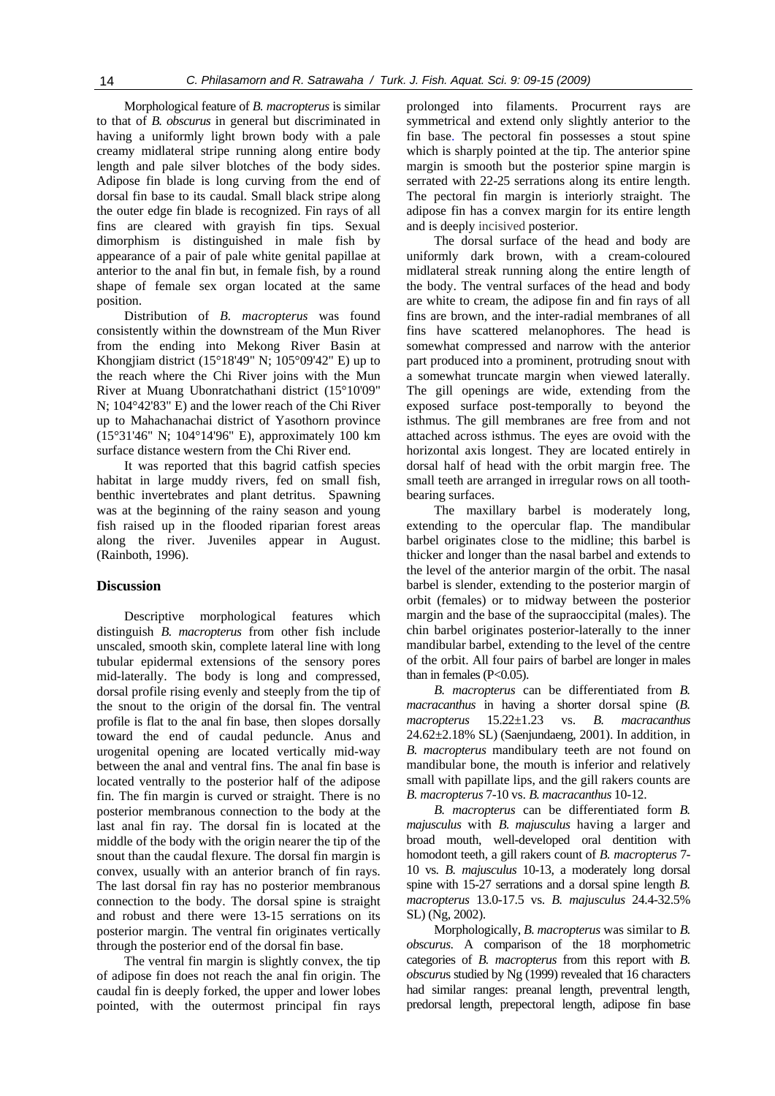Morphological feature of *B. macropterus* is similar to that of *B. obscurus* in general but discriminated in having a uniformly light brown body with a pale creamy midlateral stripe running along entire body length and pale silver blotches of the body sides. Adipose fin blade is long curving from the end of dorsal fin base to its caudal. Small black stripe along the outer edge fin blade is recognized. Fin rays of all fins are cleared with grayish fin tips. Sexual dimorphism is distinguished in male fish by appearance of a pair of pale white genital papillae at anterior to the anal fin but, in female fish, by a round shape of female sex organ located at the same position.

Distribution of *B. macropterus* was found consistently within the downstream of the Mun River from the ending into Mekong River Basin at Khongjiam district (15°18'49" N; 105°09'42" E) up to the reach where the Chi River joins with the Mun River at Muang Ubonratchathani district (15°10'09" N; 104°42'83" E) and the lower reach of the Chi River up to Mahachanachai district of Yasothorn province (15°31'46" N; 104°14'96" E), approximately 100 km surface distance western from the Chi River end.

It was reported that this bagrid catfish species habitat in large muddy rivers, fed on small fish, benthic invertebrates and plant detritus. Spawning was at the beginning of the rainy season and young fish raised up in the flooded riparian forest areas along the river. Juveniles appear in August. (Rainboth, 1996).

### **Discussion**

Descriptive morphological features which distinguish *B. macropterus* from other fish include unscaled, smooth skin, complete lateral line with long tubular epidermal extensions of the sensory pores mid-laterally. The body is long and compressed, dorsal profile rising evenly and steeply from the tip of the snout to the origin of the dorsal fin. The ventral profile is flat to the anal fin base, then slopes dorsally toward the end of caudal peduncle. Anus and urogenital opening are located vertically mid-way between the anal and ventral fins. The anal fin base is located ventrally to the posterior half of the adipose fin. The fin margin is curved or straight. There is no posterior membranous connection to the body at the last anal fin ray. The dorsal fin is located at the middle of the body with the origin nearer the tip of the snout than the caudal flexure. The dorsal fin margin is convex, usually with an anterior branch of fin rays. The last dorsal fin ray has no posterior membranous connection to the body. The dorsal spine is straight and robust and there were 13-15 serrations on its posterior margin. The ventral fin originates vertically through the posterior end of the dorsal fin base.

The ventral fin margin is slightly convex, the tip of adipose fin does not reach the anal fin origin. The caudal fin is deeply forked, the upper and lower lobes pointed, with the outermost principal fin rays

prolonged into filaments. Procurrent rays are symmetrical and extend only slightly anterior to the fin base. The pectoral fin possesses a stout spine which is sharply pointed at the tip. The anterior spine margin is smooth but the posterior spine margin is serrated with 22-25 serrations along its entire length. The pectoral fin margin is interiorly straight. The adipose fin has a convex margin for its entire length and is deeply incisived posterior.

The dorsal surface of the head and body are uniformly dark brown, with a cream-coloured midlateral streak running along the entire length of the body. The ventral surfaces of the head and body are white to cream, the adipose fin and fin rays of all fins are brown, and the inter-radial membranes of all fins have scattered melanophores. The head is somewhat compressed and narrow with the anterior part produced into a prominent, protruding snout with a somewhat truncate margin when viewed laterally. The gill openings are wide, extending from the exposed surface post-temporally to beyond the isthmus. The gill membranes are free from and not attached across isthmus. The eyes are ovoid with the horizontal axis longest. They are located entirely in dorsal half of head with the orbit margin free. The small teeth are arranged in irregular rows on all toothbearing surfaces.

The maxillary barbel is moderately long, extending to the opercular flap. The mandibular barbel originates close to the midline; this barbel is thicker and longer than the nasal barbel and extends to the level of the anterior margin of the orbit. The nasal barbel is slender, extending to the posterior margin of orbit (females) or to midway between the posterior margin and the base of the supraoccipital (males). The chin barbel originates posterior-laterally to the inner mandibular barbel, extending to the level of the centre of the orbit. All four pairs of barbel are longer in males than in females (P<0.05).

*B. macropterus* can be differentiated from *B. macracanthus* in having a shorter dorsal spine (*B. macropterus* 15.22±1.23 vs. *B. macracanthus* 24.62±2.18% SL) (Saenjundaeng, 2001). In addition, in *B. macropterus* mandibulary teeth are not found on mandibular bone, the mouth is inferior and relatively small with papillate lips, and the gill rakers counts are *B. macropterus* 7-10 vs. *B. macracanthus* 10-12.

*B. macropterus* can be differentiated form *B. majusculus* with *B. majusculus* having a larger and broad mouth, well-developed oral dentition with homodont teeth, a gill rakers count of *B. macropterus* 7- 10 vs. *B. majusculus* 10-13, a moderately long dorsal spine with 15-27 serrations and a dorsal spine length *B. macropterus* 13.0-17.5 vs. *B. majusculus* 24.4-32.5% SL) (Ng, 2002).

Morphologically, *B. macropterus* was similar to *B. obscurus*. A comparison of the 18 morphometric categories of *B. macropterus* from this report with *B. obscuru*s studied by Ng (1999) revealed that 16 characters had similar ranges: preanal length, preventral length, predorsal length, prepectoral length, adipose fin base